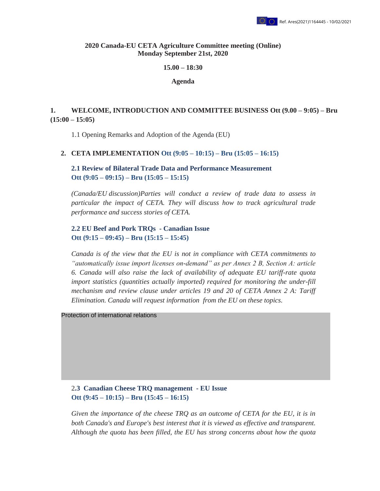

#### **2020 Canada-EU CETA Agriculture Committee meeting (Online) Monday September 21st, 2020**

#### **15.00 – 18:30**

**Agenda** 

## **1.** WELCOME, INTRODUCTION AND COMMITTEE BUSINESS Ott (9.00 – 9:05) – Bru  $(15:00 - 15:05)$

1.1 Opening Remarks and Adoption of the Agenda (EU)

## **2. CETA IMPLEMENTATION Ott (9:05 – 10:15) – Bru (15:05 – 16:15)**

**2.1 Review of Bilateral Trade Data and Performance Measurement Ott (9:05 – 09:15) – Bru (15:05 – 15:15)** 

*(Canada/EU discussion)Parties will conduct a review of trade data to assess in particular the impact of CETA. They will discuss how to track agricultural trade performance and success stories of CETA.*

## **2.2 EU Beef and Pork TRQs - Canadian Issue Ott (9:15 – 09:45) – Bru (15:15 – 15:45)**

*Canada is of the view that the EU is not in compliance with CETA commitments to "automatically issue import licenses on-demand" as per Annex 2 B, Section A: article 6. Canada will also raise the lack of availability of adequate EU tariff-rate quota import statistics (quantities actually imported) required for monitoring the under-fill mechanism and review clause under articles 19 and 20 of CETA Annex 2 A: Tariff Elimination. Canada will request information from the EU on these topics.* 

Protection of international relations

2**.3 Canadian Cheese TRQ management - EU Issue Ott (9:45 – 10:15) – Bru (15:45 – 16:15)** 

*Given the importance of the cheese TRQ as an outcome of CETA for the EU, it is in both Canada's and Europe's best interest that it is viewed as effective and transparent. Although the quota has been filled, the EU has strong concerns about how the quota*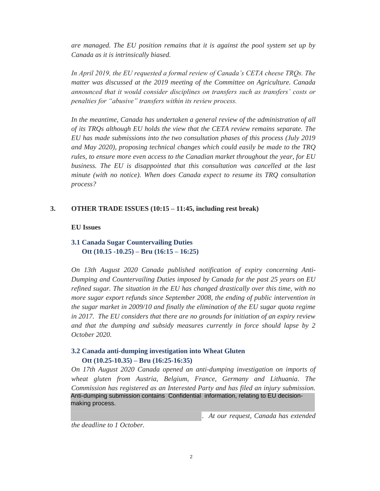*are managed. The EU position remains that it is against the pool system set up by Canada as it is intrinsically biased.* 

*In April 2019, the EU requested a formal review of Canada's CETA cheese TRQs. The matter was discussed at the 2019 meeting of the Committee on Agriculture. Canada announced that it would consider disciplines on transfers such as transfers' costs or penalties for "abusive" transfers within its review process.*

In the meantime, Canada has undertaken a general review of the administration of all *of its TRQs although EU holds the view that the CETA review remains separate. The EU has made submissions into the two consultation phases of this process (July 2019 and May 2020), proposing technical changes which could easily be made to the TRQ rules, to ensure more even access to the Canadian market throughout the year, for EU business. The EU is disappointed that this consultation was cancelled at the last minute (with no notice). When does Canada expect to resume its TRQ consultation process?* 

#### **3. OTHER TRADE ISSUES (10:15 – 11:45, including rest break)**

#### **EU Issues**

## **3.1 Canada Sugar Countervailing Duties Ott (10.15 -10.25) – Bru (16:15 – 16:25)**

*On 13th August 2020 Canada published notification of expiry concerning Anti-Dumping and Countervailing Duties imposed by Canada for the past 25 years on EU refined sugar. The situation in the EU has changed drastically over this time, with no more sugar export refunds since September 2008, the ending of public intervention in the sugar market in 2009/10 and finally the elimination of the EU sugar quota regime in 2017. The EU considers that there are no grounds for initiation of an expiry review and that the dumping and subsidy measures currently in force should lapse by 2 October 2020.* 

## **3.2 Canada anti-dumping investigation into Wheat Gluten Ott (10.25-10.35) – Bru (16:25-16:35)**

*On 17th August 2020 Canada opened an anti-dumping investigation on imports of wheat gluten from Austria, Belgium, France, Germany and Lithuania. The Commission has registered as an Interested Party and has filed an injury submission.*  Anti-dumping submission contains Confidential information, relating to EU decisionmaking process.

*. At our request, Canada has extended* 

*the deadline to 1 October.*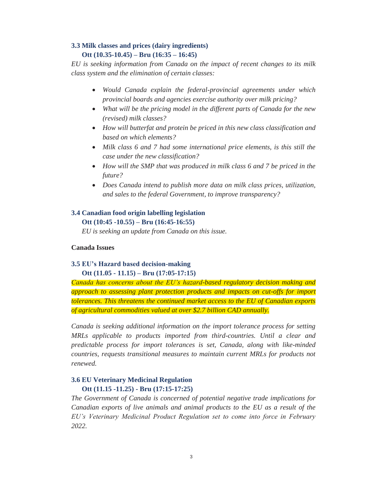# **3.3 Milk classes and prices (dairy ingredients) Ott (10.35-10.45) – Bru (16:35 – 16:45)**

*EU is seeking information from Canada on the impact of recent changes to its milk class system and the elimination of certain classes:* 

- x *Would Canada explain the federal-provincial agreements under which provincial boards and agencies exercise authority over milk pricing?*
- What will be the pricing model in the different parts of Canada for the new *(revised) milk classes?*
- x *How will butterfat and protein be priced in this new class classification and based on which elements?*
- Milk class 6 and 7 had some international price elements, is this still the *case under the new classification?*
- How will the SMP that was produced in milk class 6 and 7 be priced in the *future?*
- x *Does Canada intend to publish more data on milk class prices, utilization, and sales to the federal Government, to improve transparency?*

# **3.4 Canadian food origin labelling legislation**

**Ott (10:45 -10.55) – Bru (16:45-16:55)** 

*EU is seeking an update from Canada on this issue.* 

## **Canada Issues**

# **3.5 EU's Hazard based decision-making**

## **Ott (11.05 - 11.15) – Bru (17:05-17:15)**

*Canada has concerns about the EU's hazard-based regulatory decision making and approach to assessing plant protection products and impacts on cut-offs for import tolerances. This threatens the continued market access to the EU of Canadian exports of agricultural commodities valued at over \$2.7 billion CAD annually.* 

*Canada is seeking additional information on the import tolerance process for setting MRLs applicable to products imported from third-countries. Until a clear and predictable process for import tolerances is set, Canada, along with like-minded countries, requests transitional measures to maintain current MRLs for products not renewed.* 

# **3.6 EU Veterinary Medicinal Regulation Ott (11.15 -11.25) - Bru (17:15-17:25)**

*The Government of Canada is concerned of potential negative trade implications for Canadian exports of live animals and animal products to the EU as a result of the EU's Veterinary Medicinal Product Regulation set to come into force in February 2022.*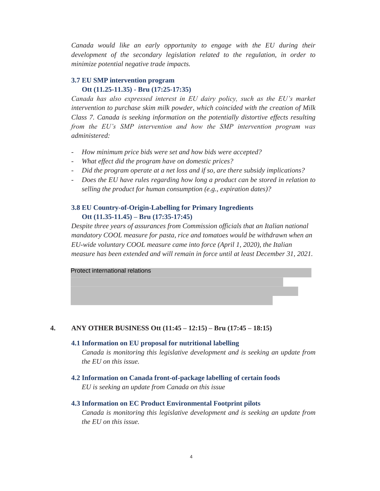*Canada would like an early opportunity to engage with the EU during their development of the secondary legislation related to the regulation, in order to minimize potential negative trade impacts.* 

#### **3.7 EU SMP intervention program Ott (11.25-11.35) - Bru (17:25-17:35)**

*Canada has also expressed interest in EU dairy policy, such as the EU's market intervention to purchase skim milk powder, which coincided with the creation of Milk Class 7. Canada is seeking information on the potentially distortive effects resulting from the EU's SMP intervention and how the SMP intervention program was administered:* 

- *How minimum price bids were set and how bids were accepted?*
- *What effect did the program have on domestic prices?*
- *Did the program operate at a net loss and if so, are there subsidy implications?*
- *Does the EU have rules regarding how long a product can be stored in relation to selling the product for human consumption (e.g., expiration dates)?*

### **3.8 EU Country-of-Origin-Labelling for Primary Ingredients Ott (11.35-11.45) – Bru (17:35-17:45)**

*Despite three years of assurances from Commission officials that an Italian national mandatory COOL measure for pasta, rice and tomatoes would be withdrawn when an EU-wide voluntary COOL measure came into force (April 1, 2020), the Italian measure has been extended and will remain in force until at least December 31, 2021.* 

Protect international relations

#### **4. ANY OTHER BUSINESS Ott (11:45 – 12:15) – Bru (17:45 – 18:15)**

#### **4.1 Information on EU proposal for nutritional labelling**

*Canada is monitoring this legislative development and is seeking an update from the EU on this issue.* 

**4.2 Information on Canada front-of-package labelling of certain foods**  *EU is seeking an update from Canada on this issue*

#### **4.3 Information on EC Product Environmental Footprint pilots**

*Canada is monitoring this legislative development and is seeking an update from the EU on this issue.*